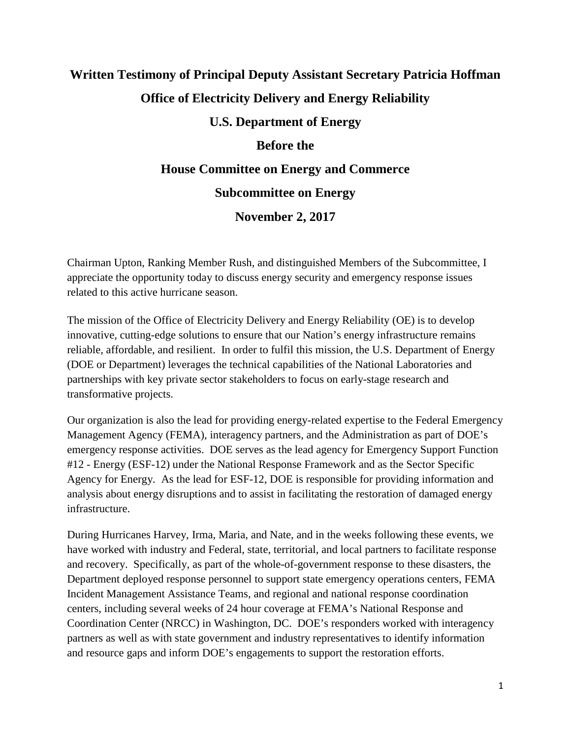# **Written Testimony of Principal Deputy Assistant Secretary Patricia Hoffman Office of Electricity Delivery and Energy Reliability U.S. Department of Energy**

## **Before the**

## **House Committee on Energy and Commerce**

# **Subcommittee on Energy**

# **November 2, 2017**

Chairman Upton, Ranking Member Rush, and distinguished Members of the Subcommittee, I appreciate the opportunity today to discuss energy security and emergency response issues related to this active hurricane season.

The mission of the Office of Electricity Delivery and Energy Reliability (OE) is to develop innovative, cutting-edge solutions to ensure that our Nation's energy infrastructure remains reliable, affordable, and resilient. In order to fulfil this mission, the U.S. Department of Energy (DOE or Department) leverages the technical capabilities of the National Laboratories and partnerships with key private sector stakeholders to focus on early-stage research and transformative projects.

Our organization is also the lead for providing energy-related expertise to the Federal Emergency Management Agency (FEMA), interagency partners, and the Administration as part of DOE's emergency response activities. DOE serves as the lead agency for Emergency Support Function #12 - Energy (ESF-12) under the National Response Framework and as the Sector Specific Agency for Energy. As the lead for ESF-12, DOE is responsible for providing information and analysis about energy disruptions and to assist in facilitating the restoration of damaged energy infrastructure.

During Hurricanes Harvey, Irma, Maria, and Nate, and in the weeks following these events, we have worked with industry and Federal, state, territorial, and local partners to facilitate response and recovery. Specifically, as part of the whole-of-government response to these disasters, the Department deployed response personnel to support state emergency operations centers, FEMA Incident Management Assistance Teams, and regional and national response coordination centers, including several weeks of 24 hour coverage at FEMA's National Response and Coordination Center (NRCC) in Washington, DC. DOE's responders worked with interagency partners as well as with state government and industry representatives to identify information and resource gaps and inform DOE's engagements to support the restoration efforts.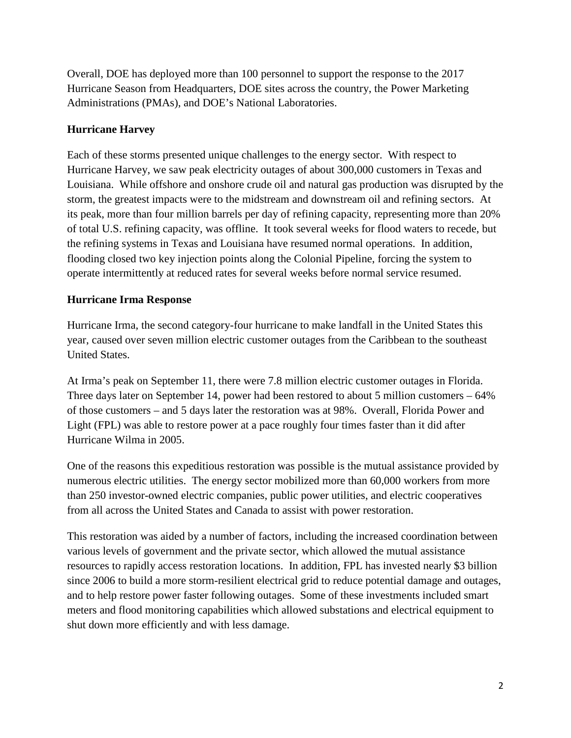Overall, DOE has deployed more than 100 personnel to support the response to the 2017 Hurricane Season from Headquarters, DOE sites across the country, the Power Marketing Administrations (PMAs), and DOE's National Laboratories.

## **Hurricane Harvey**

Each of these storms presented unique challenges to the energy sector. With respect to Hurricane Harvey, we saw peak electricity outages of about 300,000 customers in Texas and Louisiana. While offshore and onshore crude oil and natural gas production was disrupted by the storm, the greatest impacts were to the midstream and downstream oil and refining sectors. At its peak, more than four million barrels per day of refining capacity, representing more than 20% of total U.S. refining capacity, was offline. It took several weeks for flood waters to recede, but the refining systems in Texas and Louisiana have resumed normal operations. In addition, flooding closed two key injection points along the Colonial Pipeline, forcing the system to operate intermittently at reduced rates for several weeks before normal service resumed.

## **Hurricane Irma Response**

Hurricane Irma, the second category-four hurricane to make landfall in the United States this year, caused over seven million electric customer outages from the Caribbean to the southeast United States.

At Irma's peak on September 11, there were 7.8 million electric customer outages in Florida. Three days later on September 14, power had been restored to about 5 million customers – 64% of those customers – and 5 days later the restoration was at 98%. Overall, Florida Power and Light (FPL) was able to restore power at a pace roughly four times faster than it did after Hurricane Wilma in 2005.

One of the reasons this expeditious restoration was possible is the mutual assistance provided by numerous electric utilities. The energy sector mobilized more than 60,000 workers from more than 250 investor-owned electric companies, public power utilities, and electric cooperatives from all across the United States and Canada to assist with power restoration.

This restoration was aided by a number of factors, including the increased coordination between various levels of government and the private sector, which allowed the mutual assistance resources to rapidly access restoration locations. In addition, FPL has invested nearly \$3 billion since 2006 to build a more storm-resilient electrical grid to reduce potential damage and outages, and to help restore power faster following outages. Some of these investments included smart meters and flood monitoring capabilities which allowed substations and electrical equipment to shut down more efficiently and with less damage.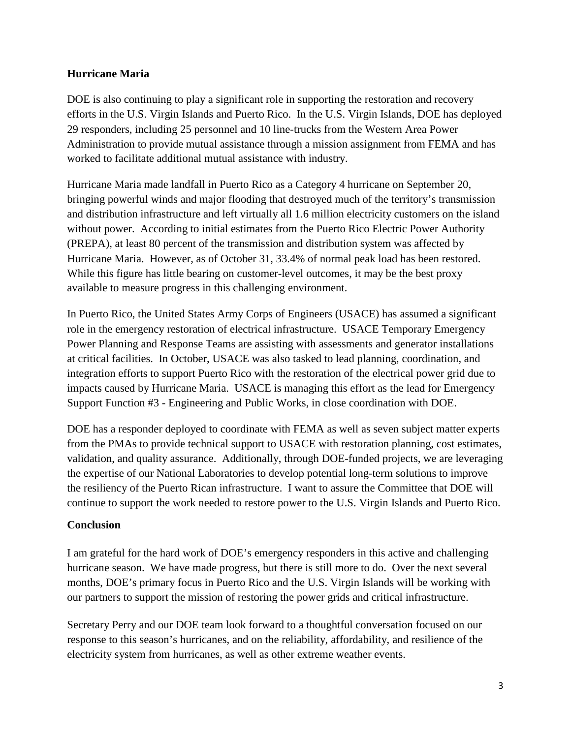## **Hurricane Maria**

DOE is also continuing to play a significant role in supporting the restoration and recovery efforts in the U.S. Virgin Islands and Puerto Rico. In the U.S. Virgin Islands, DOE has deployed 29 responders, including 25 personnel and 10 line-trucks from the Western Area Power Administration to provide mutual assistance through a mission assignment from FEMA and has worked to facilitate additional mutual assistance with industry.

Hurricane Maria made landfall in Puerto Rico as a Category 4 hurricane on September 20, bringing powerful winds and major flooding that destroyed much of the territory's transmission and distribution infrastructure and left virtually all 1.6 million electricity customers on the island without power. According to initial estimates from the Puerto Rico Electric Power Authority (PREPA), at least 80 percent of the transmission and distribution system was affected by Hurricane Maria. However, as of October 31, 33.4% of normal peak load has been restored. While this figure has little bearing on customer-level outcomes, it may be the best proxy available to measure progress in this challenging environment.

In Puerto Rico, the United States Army Corps of Engineers (USACE) has assumed a significant role in the emergency restoration of electrical infrastructure. USACE Temporary Emergency Power Planning and Response Teams are assisting with assessments and generator installations at critical facilities. In October, USACE was also tasked to lead planning, coordination, and integration efforts to support Puerto Rico with the restoration of the electrical power grid due to impacts caused by Hurricane Maria. USACE is managing this effort as the lead for Emergency Support Function #3 - Engineering and Public Works, in close coordination with DOE.

DOE has a responder deployed to coordinate with FEMA as well as seven subject matter experts from the PMAs to provide technical support to USACE with restoration planning, cost estimates, validation, and quality assurance. Additionally, through DOE-funded projects, we are leveraging the expertise of our National Laboratories to develop potential long-term solutions to improve the resiliency of the Puerto Rican infrastructure. I want to assure the Committee that DOE will continue to support the work needed to restore power to the U.S. Virgin Islands and Puerto Rico.

#### **Conclusion**

I am grateful for the hard work of DOE's emergency responders in this active and challenging hurricane season. We have made progress, but there is still more to do. Over the next several months, DOE's primary focus in Puerto Rico and the U.S. Virgin Islands will be working with our partners to support the mission of restoring the power grids and critical infrastructure.

Secretary Perry and our DOE team look forward to a thoughtful conversation focused on our response to this season's hurricanes, and on the reliability, affordability, and resilience of the electricity system from hurricanes, as well as other extreme weather events.